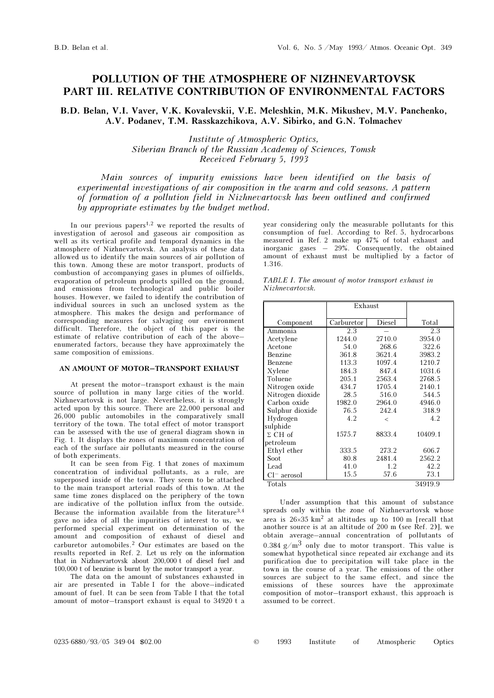# POLLUTION OF THE ATMOSPHERE OF NIZHNEVARTOVSK PART III. RELATIVE CONTRIBUTION OF ENVIRONMENTAL FACTORS

B.D. Belan, V.I. Vaver, V.K. Kovalevskii, V.E. Meleshkin, M.K. Mikushev, M.V. Panchenko, A.V. Podanev, T.M. Rasskazchikova, A.V. Sibirko, and G.N. Tolmachev

> Institute of Atmospheric Optics, Siberian Branch of the Russian Academy of Sciences, Tomsk Received February 5, 1993

Main sources of impurity emissions have been identified on the basis of experimental investigations of air composition in the warm and cold seasons. A pattern of formation of a pollution field in Nizhnevartovsk has been outlined and confirmed by appropriate estimates by the budget method.

In our previous papers<sup>1,2</sup> we reported the results of investigation of aerosol and gaseous air composition as well as its vertical profile and temporal dynamics in the atmosphere of Nizhnevartovsk. An analysis of these data allowed us to identify the main sources of air pollution of this town. Among these are motor transport, products of combustion of accompanying gases in plumes of oilfields, evaporation of petroleum products spilled on the ground, and emissions from technological and public boiler houses. However, we failed to identify the contribution of individual sources in such an unclosed system as the atmosphere. This makes the design and performance of corresponding measures for salvaging our environment difficult. Therefore, the object of this paper is the estimate of relative contribution of each of the above– enumerated factors, because they have approximately the same composition of emissions.

### AN AMOUNT OF MOTOR–TRANSPORT EXHAUST

At present the motor–transport exhaust is the main source of pollution in many large cities of the world. Nizhnevartovsk is not large. Nevertheless, it is strongly acted upon by this source. There are 22,000 personal and 26,000 public automobiles in the comparatively small territory of the town. The total effect of motor transport can be assessed with the use of general diagram shown in Fig. 1. It displays the zones of maximum concentration of each of the surface air pollutants measured in the course of both experiments.

It can be seen from Fig. 1 that zones of maximum concentration of individual pollutants, as a rule, are superposed inside of the town. They seem to be attached to the main transport arterial roads of this town. At the same time zones displaced on the periphery of the town are indicative of the pollution influx from the outside. Because the information available from the literature<sup>3,4</sup> gave no idea of all the impurities of interest to us, we performed special experiment on determination of the amount and composition of exhaust of diesel and carburetor automobiles.2 Our estimates are based on the results reported in Ref. 2. Let us rely on the information that in Nizhnevartovsk about 200,000 t of diesel fuel and 100,000 t of benzine is burnt by the motor transport a year.

The data on the amount of substances exhausted in air are presented in Table I for the above–indicated amount of fuel. It can be seen from Table I that the total amount of motor–transport exhaust is equal to 34920 t a year considering only the measurable pollutants for this consumption of fuel. According to Ref. 5, hydrocarbons measured in Ref. 2 make up 47% of total exhaust and inorganic gases – 29%. Consequently, the obtained amount of exhaust must be multiplied by a factor of 1.316.

| TABLE I. The amount of motor transport exhaust in |  |  |
|---------------------------------------------------|--|--|
| Nizhnevartovsk.                                   |  |  |

|                  | Exhaust    |         |         |
|------------------|------------|---------|---------|
| Component        | Carburetor | Diesel  | Total   |
| Ammonia          | 2.3        |         | 2.3     |
| Acetylene        | 1244.0     | 2710.0  | 3954.0  |
| Acetone          | 54.0       | 268.6   | 322.6   |
| Benzine          | 361.8      | 3621.4  | 3983.2  |
| Benzene          | 113.3      | 1097.4  | 1210.7  |
| Xylene           | 184.3      | 847.4   | 1031.6  |
| Toluene          | 205.1      | 2563.4  | 2768.5  |
| Nitrogen oxide   | 434.7      | 1705.4  | 2140.1  |
| Nitrogen dioxide | 28.5       | 516.0   | 544.5   |
| Carbon oxide     | 1982.0     | 2964.0  | 4946.0  |
| Sulphur dioxide  | 76.5       | 242.4   | 318.9   |
| Hydrogen         | 4.2        | $\,<\,$ | 4.2     |
| sulphide         |            |         |         |
| $\Sigma$ CH of   | 1575.7     | 8833.4  | 10409.1 |
| petroleum        |            |         |         |
| Ethyl ether      | 333.5      | 273.2   | 606.7   |
| Soot             | 80.8       | 2481.4  | 2562.2  |
| Lead             | 41.0       | 1.2     | 42.2    |
| $Cl^-$ aerosol   | 15.5       | 57.6    | 73.1    |
| Totals           |            |         | 34919.9 |

Under assumption that this amount of substance spreads only within the zone of Nizhnevartovsk whose area is 26×35 km2 at altitudes up to 100 m [recall that another source is at an altitude of 200 m (see Ref. 2)], we obtain average–annual concentration of pollutants of 0.384 g/m<sup>3</sup> only due to motor transport. This value is somewhat hypothetical since repeated air exchange and its purification due to precipitation will take place in the town in the course of a year. The emissions of the other sources are subject to the same effect, and since the emissions of these sources have the approximate composition of motor–transport exhaust, this approach is assumed to be correct.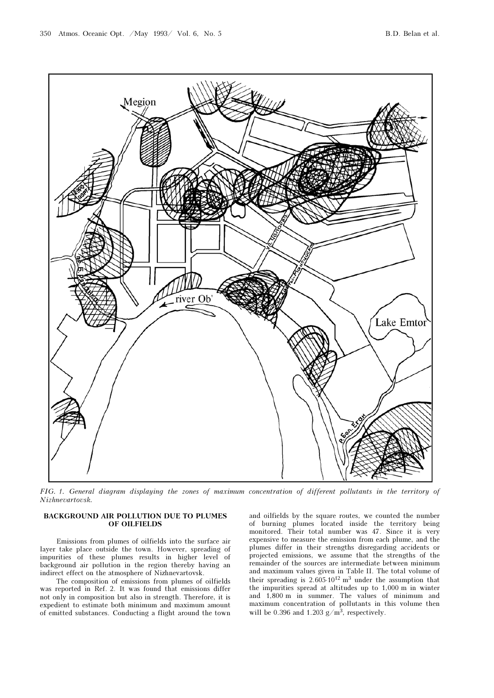

FIG. 1. General diagram displaying the zones of maximum concentration of different pollutants in the territory of Nizhnevartovsk.

# BACKGROUND AIR POLLUTION DUE TO PLUMES OF OILFIELDS

Emissions from plumes of oilfields into the surface air layer take place outside the town. However, spreading of impurities of these plumes results in higher level of background air pollution in the region thereby having an indirect effect on the atmosphere of Nizhnevartovsk.

The composition of emissions from plumes of oilfields was reported in Ref. 2. It was found that emissions differ not only in composition but also in strength. Therefore, it is expedient to estimate both minimum and maximum amount of emitted substances. Conducting a flight around the town and oilfields by the square routes, we counted the number of burning plumes located inside the territory being monitored. Their total number was 47. Since it is very expensive to measure the emission from each plume, and the plumes differ in their strengths disregarding accidents or projected emissions, we assume that the strengths of the remainder of the sources are intermediate between minimum and maximum values given in Table II. The total volume of their spreading is  $2.605 \cdot 10^{12}$  m<sup>3</sup> under the assumption that the impurities spread at altitudes up to 1,000 m in winter and 1,800 m in summer. The values of minimum and maximum concentration of pollutants in this volume then will be 0.396 and 1.203  $g/m^3$ , respectively.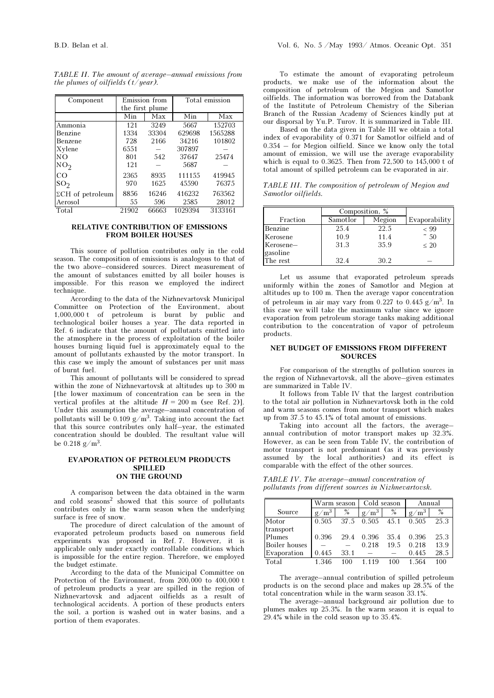| Component                | Emission from   |       | Total emission |         |  |
|--------------------------|-----------------|-------|----------------|---------|--|
|                          | the first plume |       |                |         |  |
|                          | Min             | Max   | Min            | Max     |  |
| Ammonia                  | 121             | 3249  | 5667           | 152703  |  |
| Benzine                  | 1334            | 33304 | 629698         | 1565288 |  |
| Benzene                  | 728             | 2166  | 34216          | 101802  |  |
| Xylene                   | 6551            |       | 307897         |         |  |
| NO.                      | 801             | 542   | 37647          | 25474   |  |
| NO <sub>2</sub>          | 121             |       | 5687           |         |  |
| CO                       | 2365            | 8935  | 111155         | 419945  |  |
| SO <sub>2</sub>          | 970             | 1625  | 45590          | 76375   |  |
| $\Sigma$ CH of petroleum | 8856            | 16246 | 416232         | 763562  |  |
| Aerosol                  | 55              | 596   | 2585           | 28012   |  |
| Total                    | 21902           | 66663 | 1029394        | 3133161 |  |

TABLE II. The amount of average–annual emissions from the plumes of oilfields  $(t/year)$ .

## RELATIVE CONTRIBUTION OF EMISSIONS FROM BOILER HOUSES

This source of pollution contributes only in the cold season. The composition of emissions is analogous to that of the two above–considered sources. Direct measurement of the amount of substances emitted by all boiler houses is impossible. For this reason we employed the indirect technique.

According to the data of the Nizhnevartovsk Municipal Committee on Protection of the Environment, about 1,000,000 t of petroleum is burnt by public and technological boiler houses a year. The data reported in Ref. 6 indicate that the amount of pollutants emitted into the atmosphere in the process of exploitation of the boiler houses burning liquid fuel is approximately equal to the amount of pollutants exhausted by the motor transport. In this case we imply the amount of substances per unit mass of burnt fuel.

This amount of pollutants will be considered to spread within the zone of Nizhnevartovsk at altitudes up to 300 m [the lower maximum of concentration can be seen in the vertical profiles at the altitude  $H = 200$  m (see Ref. 2)]. Under this assumption the average–annual concentration of pollutants will be 0.109  $g/m^3$ . Taking into account the fact that this source contributes only half–year, the estimated concentration should be doubled. The resultant value will be  $0.218$  g/m<sup>3</sup>.

### EVAPORATION OF PETROLEUM PRODUCTS SPILLED ON THE GROUND

A comparison between the data obtained in the warm and cold seasons<sup>2</sup> showed that this source of pollutants contributes only in the warm season when the underlying surface is free of snow.

The procedure of direct calculation of the amount of evaporated petroleum products based on numerous field experiments was proposed in Ref. 7. However, it is applicable only under exactly controllable conditions which is impossible for the entire region. Therefore, we employed the budget estimate.

According to the data of the Municipal Committee on Protection of the Environment, from 200,000 to 400,000 t of petroleum products a year are spilled in the region of Nizhnevartovsk and adjacent oilfields as a result of technological accidents. A portion of these products enters the soil, a portion is washed out in water basins, and a portion of them evaporates.

To estimate the amount of evaporating petroleum products, we make use of the information about the composition of petroleum of the Megion and Samotlor oilfields. The information was borrowed from the Databank of the Institute of Petroleum Chemistry of the Siberian Branch of the Russian Academy of Sciences kindly put at our disporsal by Yu.P. Turov. It is summarized in Table III.

Based on the data given in Table III we obtain a total index of evaporability of 0.371 for Samotlor oilfield and of 0.354 – for Megion oilfield. Since we know only the total amount of emission, we will use the average evaporability which is equal to 0.3625. Then from  $72,500$  to  $145,000$  t of total amount of spilled petroleum can be evaporated in air.

TABLE III. The composition of petroleum of Megion and Samotlor oilfields.

|           | Composition, % |        |               |
|-----------|----------------|--------|---------------|
| Fraction  | Samotlor       | Megion | Evaporability |
| Benzine   | 25.4           | 22.5   | $~<$ 99       |
| Kerosene  | 10.9           | 11.4   | $\degree$ 50  |
| Kerosene- | 31.3           | 35.9   | $\leq 20$     |
| gasoline  |                |        |               |
| The rest  | 32.4           | 30.2   |               |

Let us assume that evaporated petroleum spreads uniformly within the zones of Samotlor and Megion at altitudes up to 100 m. Then the average vapor concentration of petroleum in air may vary from 0.227 to 0.445  $g/m<sup>3</sup>$ . In this case we will take the maximum value since we ignore evaporation from petroleum storage tanks making additional contribution to the concentration of vapor of petroleum products.

#### NET BUDGET OF EMISSIONS FROM DIFFERENT **SOURCES**

For comparison of the strengths of pollution sources in the region of Nizhnevartovsk, all the above–given estimates are summarized in Table IV.

It follows from Table IV that the largest contribution to the total air pollution in Nizhnevartovsk both in the cold and warm seasons comes from motor transport which makes up from 37.5 to 45.1% of total amount of emissions.

Taking into account all the factors, the average– annual contribution of motor transport makes up 32.3%. However, as can be seen from Table IV, the contribution of motor transport is not predominant (as it was previously assumed by the local authorities) and its effect is comparable with the effect of the other sources.

TABLE IV. The average–annual concentration of pollutants from different sources in Nizhnevartovsk.

|               | Warm season                     |      | Cold season |      | Annual                             |      |
|---------------|---------------------------------|------|-------------|------|------------------------------------|------|
| Source        | $\cdot$ /m <sup>3</sup> +<br>g/ | $\%$ | $g/m^3$     | $\%$ | $\mathcal{M}^3$<br>$\mathfrak{g}/$ | $\%$ |
| Motor         | 0.505                           | 37.5 | 0.505       | 45.1 | 0.505                              | 25.3 |
| transport     |                                 |      |             |      |                                    |      |
| Plumes        | 0.396                           | 29.4 | 0.396       | 35.4 | 0.396                              | 25.3 |
| Boiler houses |                                 |      | 0.218       | 19.5 | 0.218                              | 13.9 |
| Evaporation   | 0.445                           | 33.1 |             |      | 0.445                              | 28.5 |
| Total         | 1.346                           | 100  | 1.119       | 100  | 1.564                              | 100  |

The average–annual contribution of spilled petroleum products is on the second place and makes up 28.5% of the total concentration while in the warm season 33.1%.

The average–annual background air pollution due to plumes makes up 25.3%. In the warm season it is equal to 29.4% while in the cold season up to 35.4%.